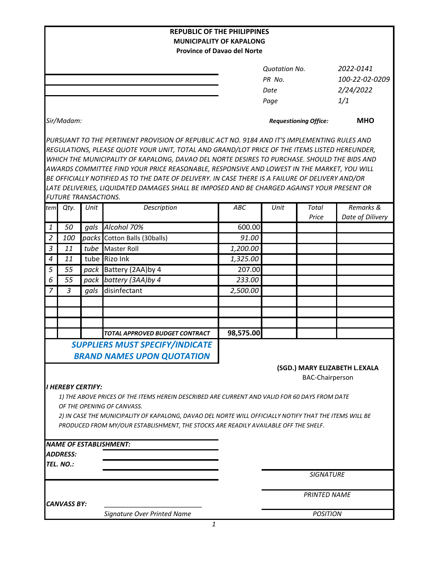| <b>REPUBLIC OF THE PHILIPPINES</b><br><b>MUNICIPALITY OF KAPALONG</b><br><b>Province of Davao del Norte</b>                                                                                   |                 |      |                                                                                              |                       |                              |                        |                  |  |
|-----------------------------------------------------------------------------------------------------------------------------------------------------------------------------------------------|-----------------|------|----------------------------------------------------------------------------------------------|-----------------------|------------------------------|------------------------|------------------|--|
|                                                                                                                                                                                               |                 |      |                                                                                              |                       |                              |                        |                  |  |
|                                                                                                                                                                                               |                 |      |                                                                                              |                       | <b>Quotation No.</b>         |                        | 2022-0141        |  |
|                                                                                                                                                                                               |                 |      |                                                                                              |                       | PR No.                       |                        | 100-22-02-0209   |  |
|                                                                                                                                                                                               |                 |      |                                                                                              |                       | Date                         |                        | 2/24/2022        |  |
|                                                                                                                                                                                               |                 |      |                                                                                              |                       | Page                         |                        | 1/1              |  |
|                                                                                                                                                                                               | Sir/Madam:      |      |                                                                                              |                       | <b>Requestioning Office:</b> |                        | <b>MHO</b>       |  |
|                                                                                                                                                                                               |                 |      | PURSUANT TO THE PERTINENT PROVISION OF REPUBLIC ACT NO. 9184 AND IT'S IMPLEMENTING RULES AND |                       |                              |                        |                  |  |
| REGULATIONS, PLEASE QUOTE YOUR UNIT, TOTAL AND GRAND/LOT PRICE OF THE ITEMS LISTED HEREUNDER,<br>WHICH THE MUNICIPALITY OF KAPALONG, DAVAO DEL NORTE DESIRES TO PURCHASE. SHOULD THE BIDS AND |                 |      |                                                                                              |                       |                              |                        |                  |  |
| AWARDS COMMITTEE FIND YOUR PRICE REASONABLE, RESPONSIVE AND LOWEST IN THE MARKET, YOU WILL                                                                                                    |                 |      |                                                                                              |                       |                              |                        |                  |  |
| BE OFFICIALLY NOTIFIED AS TO THE DATE OF DELIVERY. IN CASE THERE IS A FAILURE OF DELIVERY AND/OR                                                                                              |                 |      |                                                                                              |                       |                              |                        |                  |  |
| LATE DELIVERIES, LIQUIDATED DAMAGES SHALL BE IMPOSED AND BE CHARGED AGAINST YOUR PRESENT OR                                                                                                   |                 |      |                                                                                              |                       |                              |                        |                  |  |
| <b>FUTURE TRANSACTIONS.</b>                                                                                                                                                                   |                 |      |                                                                                              |                       |                              |                        |                  |  |
| tem                                                                                                                                                                                           | Qty.            | Unit | Description                                                                                  | ABC                   | Unit                         | Total                  | Remarks &        |  |
|                                                                                                                                                                                               | 50              |      | Alcohol 70%                                                                                  | 600.00                |                              | Price                  | Date of Dilivery |  |
| 1                                                                                                                                                                                             |                 | gals |                                                                                              |                       |                              |                        |                  |  |
| $\overline{2}$                                                                                                                                                                                | 100             |      | packs Cotton Balls (30balls)                                                                 | 91.00                 |                              |                        |                  |  |
| $\overline{3}$                                                                                                                                                                                | 11              | tube | <b>Master Roll</b>                                                                           | $\overline{1,}200.00$ |                              |                        |                  |  |
| $\boldsymbol{4}$                                                                                                                                                                              | 11              |      | tube Rizo Ink                                                                                | 1,325.00              |                              |                        |                  |  |
| $\overline{5}$                                                                                                                                                                                | 55              |      | pack Battery (2AA) by 4                                                                      | 207.00                |                              |                        |                  |  |
| 6                                                                                                                                                                                             | 55              | pack | battery (3AA) by 4                                                                           | 233.00                |                              |                        |                  |  |
| $\overline{7}$                                                                                                                                                                                | $\overline{3}$  | gals | disinfectant                                                                                 | 2,500.00              |                              |                        |                  |  |
|                                                                                                                                                                                               |                 |      |                                                                                              |                       |                              |                        |                  |  |
|                                                                                                                                                                                               |                 |      |                                                                                              |                       |                              |                        |                  |  |
|                                                                                                                                                                                               |                 |      |                                                                                              |                       |                              |                        |                  |  |
|                                                                                                                                                                                               |                 |      | TOTAL APPROVED BUDGET CONTRACT                                                               | 98,575.00             |                              |                        |                  |  |
| <b>SUPPLIERS MUST SPECIFY/INDICATE</b><br><b>BRAND NAMES UPON QUOTATION</b>                                                                                                                   |                 |      |                                                                                              |                       |                              |                        |                  |  |
| (SGD.) MARY ELIZABETH L.EXALA                                                                                                                                                                 |                 |      |                                                                                              |                       |                              |                        |                  |  |
|                                                                                                                                                                                               |                 |      |                                                                                              |                       |                              | <b>BAC-Chairperson</b> |                  |  |
| <b>I HEREBY CERTIFY:</b>                                                                                                                                                                      |                 |      |                                                                                              |                       |                              |                        |                  |  |
| 1) THE ABOVE PRICES OF THE ITEMS HEREIN DESCRIBED ARE CURRENT AND VALID FOR 60 DAYS FROM DATE                                                                                                 |                 |      |                                                                                              |                       |                              |                        |                  |  |
| OF THE OPENING OF CANVASS.                                                                                                                                                                    |                 |      |                                                                                              |                       |                              |                        |                  |  |
| 2) IN CASE THE MUNICIPALITY OF KAPALONG, DAVAO DEL NORTE WILL OFFICIALLY NOTIFY THAT THE ITEMS WILL BE<br>PRODUCED FROM MY/OUR ESTABLISHMENT, THE STOCKS ARE READILY AVAILABLE OFF THE SHELF. |                 |      |                                                                                              |                       |                              |                        |                  |  |
|                                                                                                                                                                                               |                 |      |                                                                                              |                       |                              |                        |                  |  |
|                                                                                                                                                                                               |                 |      | <b>NAME OF ESTABLISHMENT:</b>                                                                |                       |                              |                        |                  |  |
|                                                                                                                                                                                               | <b>ADDRESS:</b> |      |                                                                                              |                       |                              |                        |                  |  |
|                                                                                                                                                                                               | TEL. NO.:       |      |                                                                                              |                       |                              |                        |                  |  |
|                                                                                                                                                                                               |                 |      |                                                                                              |                       | <b>SIGNATURE</b>             |                        |                  |  |
|                                                                                                                                                                                               |                 |      |                                                                                              |                       |                              |                        |                  |  |
|                                                                                                                                                                                               | CANVASS BY:     |      |                                                                                              |                       | <b>PRINTED NAME</b>          |                        |                  |  |
|                                                                                                                                                                                               |                 |      | Signature Over Printed Name                                                                  |                       |                              | <b>POSITION</b>        |                  |  |
|                                                                                                                                                                                               |                 |      | $\mathbf{1}$                                                                                 |                       |                              |                        |                  |  |